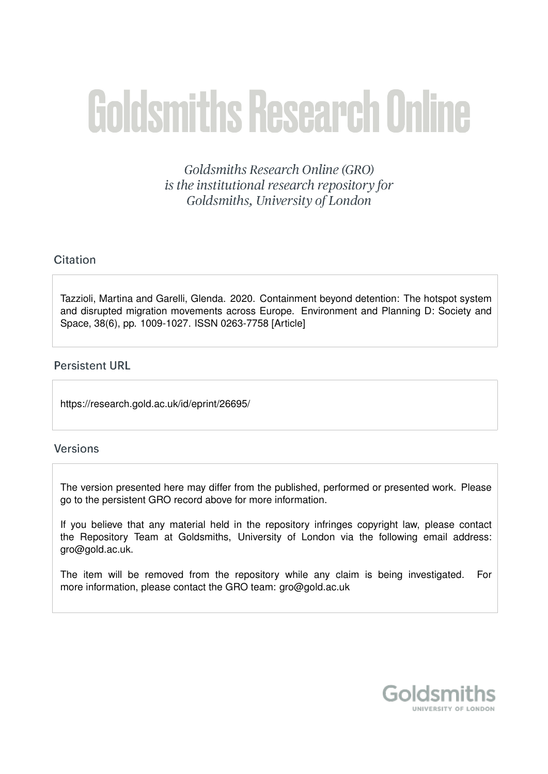# **Goldsmiths Research Online**

Goldsmiths Research Online (GRO) is the institutional research repository for Goldsmiths, University of London

# Citation

Tazzioli, Martina and Garelli, Glenda. 2020. Containment beyond detention: The hotspot system and disrupted migration movements across Europe. Environment and Planning D: Society and Space, 38(6), pp. 1009-1027. ISSN 0263-7758 [Article]

# **Persistent URL**

https://research.gold.ac.uk/id/eprint/26695/

#### **Versions**

The version presented here may differ from the published, performed or presented work. Please go to the persistent GRO record above for more information.

If you believe that any material held in the repository infringes copyright law, please contact the Repository Team at Goldsmiths, University of London via the following email address: gro@gold.ac.uk.

The item will be removed from the repository while any claim is being investigated. For more information, please contact the GRO team: gro@gold.ac.uk

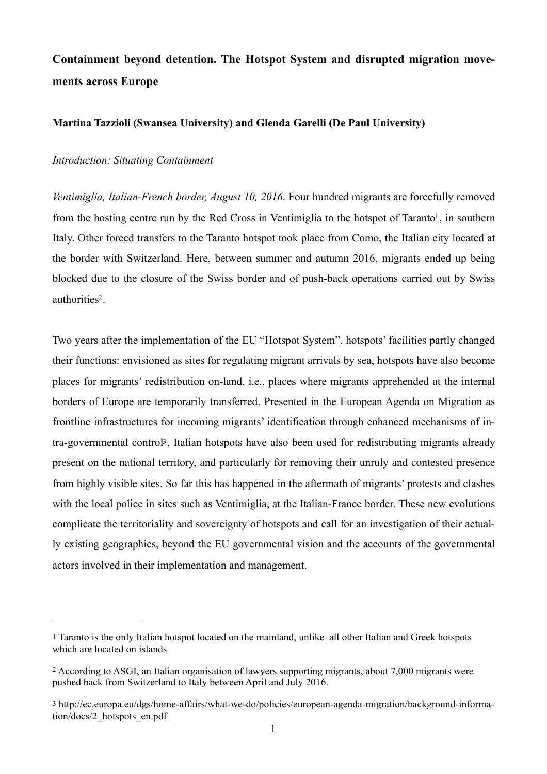# **Containment beyond detention. The Hotspot System and disrupted migration movements across Europe**

## **Martina Tazzioli (Swansea University) and Glenda Garelli (De Paul University)**

#### *Introduction: Situating Containment*

*Ventimiglia, Italian-French border, August 10, 2016*. Four hundred migrants are forcefully removed from the hosting centre run by the Red Cross in Ventimiglia to the hotspot of Taranto<sup>1</sup>, in southern Italy. Other forced transfers to the Taranto hotspot took place from Como, the Italian city located at the border with Switzerland. Here, between summer and autumn 2016, migrants ended up being blocked due to the closure of the Swiss border and of push-back operations carried out by Swiss authorities<sup>2</sup>.

Two years after the implementation of the EU "Hotspot System", hotspots' facilities partly changed their functions: envisioned as sites for regulating migrant arrivals by sea, hotspots have also become places for migrants' redistribution on-land, i.e., places where migrants apprehended at the internal borders of Europe are temporarily transferred. Presented in the European Agenda on Migration as frontline infrastructures for incoming migrants' identification through enhanced mechanisms of intra-governmental control3, Italian hotspots have also been used for redistributing migrants already present on the national territory, and particularly for removing their unruly and contested presence from highly visible sites. So far this has happened in the aftermath of migrants' protests and clashes with the local police in sites such as Ventimiglia, at the Italian-France border. These new evolutions complicate the territoriality and sovereignty of hotspots and call for an investigation of their actually existing geographies, beyond the EU governmental vision and the accounts of the governmental actors involved in their implementation and management.

<sup>1</sup> Taranto is the only Italian hotspot located on the mainland, unlike all other Italian and Greek hotspots which are located on islands

According to ASGI, an Italian organisation of lawyers supporting migrants, about 7,000 migrants were 2 pushed back from Switzerland to Italy between April and July 2016.

<sup>3</sup> http://ec.europa.eu/dgs/home-affairs/what-we-do/policies/european-agenda-migration/background-information/docs/2\_hotspots\_en.pdf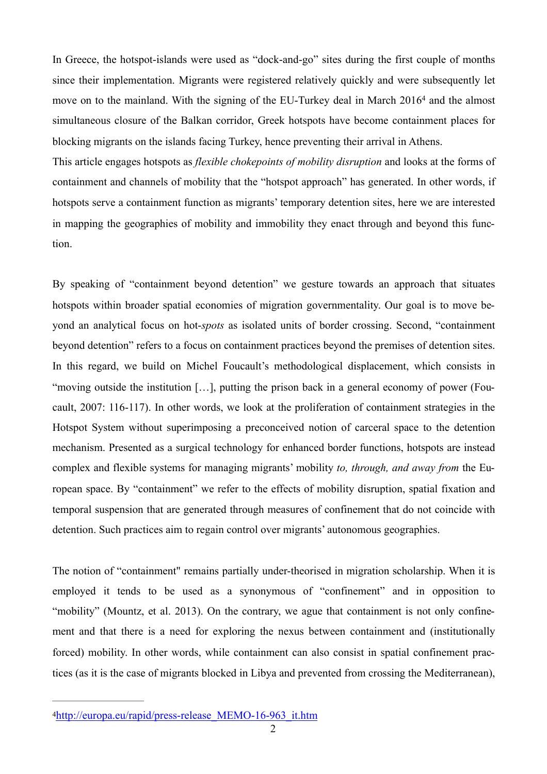In Greece, the hotspot-islands were used as "dock-and-go" sites during the first couple of months since their implementation. Migrants were registered relatively quickly and were subsequently let move on to the mainland. With the signing of the EU-Turkey deal in March 2016<sup>4</sup> and the almost simultaneous closure of the Balkan corridor, Greek hotspots have become containment places for blocking migrants on the islands facing Turkey, hence preventing their arrival in Athens.

This article engages hotspots as *flexible chokepoints of mobility disruption* and looks at the forms of containment and channels of mobility that the "hotspot approach" has generated. In other words, if hotspots serve a containment function as migrants' temporary detention sites, here we are interested in mapping the geographies of mobility and immobility they enact through and beyond this function.

By speaking of "containment beyond detention" we gesture towards an approach that situates hotspots within broader spatial economies of migration governmentality. Our goal is to move beyond an analytical focus on hot-*spots* as isolated units of border crossing. Second, "containment beyond detention" refers to a focus on containment practices beyond the premises of detention sites. In this regard, we build on Michel Foucault's methodological displacement, which consists in "moving outside the institution […], putting the prison back in a general economy of power (Foucault, 2007: 116-117). In other words, we look at the proliferation of containment strategies in the Hotspot System without superimposing a preconceived notion of carceral space to the detention mechanism. Presented as a surgical technology for enhanced border functions, hotspots are instead complex and flexible systems for managing migrants' mobility *to, through, and away from* the European space. By "containment" we refer to the effects of mobility disruption, spatial fixation and temporal suspension that are generated through measures of confinement that do not coincide with detention. Such practices aim to regain control over migrants' autonomous geographies.

The notion of "containment" remains partially under-theorised in migration scholarship. When it is employed it tends to be used as a synonymous of "confinement" and in opposition to "mobility" (Mountz, et al. 2013). On the contrary, we ague that containment is not only confinement and that there is a need for exploring the nexus between containment and (institutionally forced) mobility. In other words, while containment can also consist in spatial confinement practices (as it is the case of migrants blocked in Libya and prevented from crossing the Mediterranean),

<sup>4</sup>http://europa.eu/rapid/press-release\_MEMO-16-963\_it.htm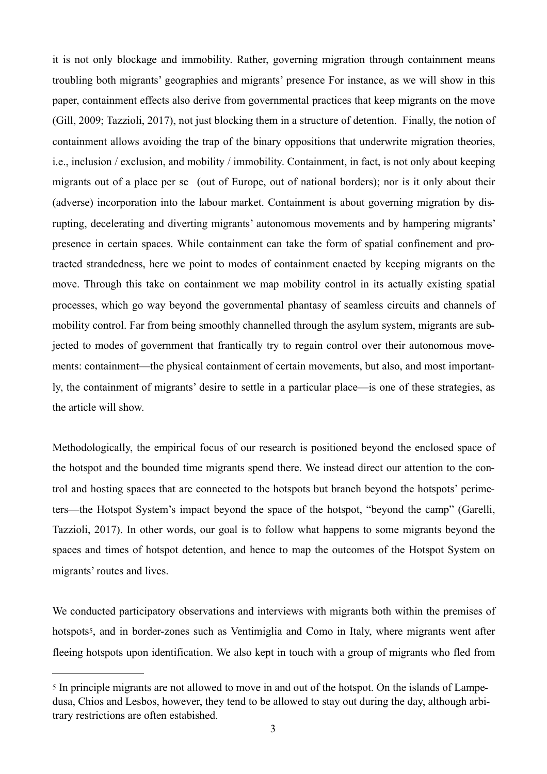it is not only blockage and immobility. Rather, governing migration through containment means troubling both migrants' geographies and migrants' presence For instance, as we will show in this paper, containment effects also derive from governmental practices that keep migrants on the move (Gill, 2009; Tazzioli, 2017), not just blocking them in a structure of detention. Finally, the notion of containment allows avoiding the trap of the binary oppositions that underwrite migration theories, i.e., inclusion / exclusion, and mobility / immobility. Containment, in fact, is not only about keeping migrants out of a place per se (out of Europe, out of national borders); nor is it only about their (adverse) incorporation into the labour market. Containment is about governing migration by disrupting, decelerating and diverting migrants' autonomous movements and by hampering migrants' presence in certain spaces. While containment can take the form of spatial confinement and protracted strandedness, here we point to modes of containment enacted by keeping migrants on the move. Through this take on containment we map mobility control in its actually existing spatial processes, which go way beyond the governmental phantasy of seamless circuits and channels of mobility control. Far from being smoothly channelled through the asylum system, migrants are subjected to modes of government that frantically try to regain control over their autonomous movements: containment—the physical containment of certain movements, but also, and most importantly, the containment of migrants' desire to settle in a particular place—is one of these strategies, as the article will show.

Methodologically, the empirical focus of our research is positioned beyond the enclosed space of the hotspot and the bounded time migrants spend there. We instead direct our attention to the control and hosting spaces that are connected to the hotspots but branch beyond the hotspots' perimeters—the Hotspot System's impact beyond the space of the hotspot, "beyond the camp" (Garelli, Tazzioli, 2017). In other words, our goal is to follow what happens to some migrants beyond the spaces and times of hotspot detention, and hence to map the outcomes of the Hotspot System on migrants' routes and lives.

We conducted participatory observations and interviews with migrants both within the premises of hotspots<sup>5</sup>, and in border-zones such as Ventimiglia and Como in Italy, where migrants went after fleeing hotspots upon identification. We also kept in touch with a group of migrants who fled from

<sup>5</sup> In principle migrants are not allowed to move in and out of the hotspot. On the islands of Lampedusa, Chios and Lesbos, however, they tend to be allowed to stay out during the day, although arbitrary restrictions are often estabished.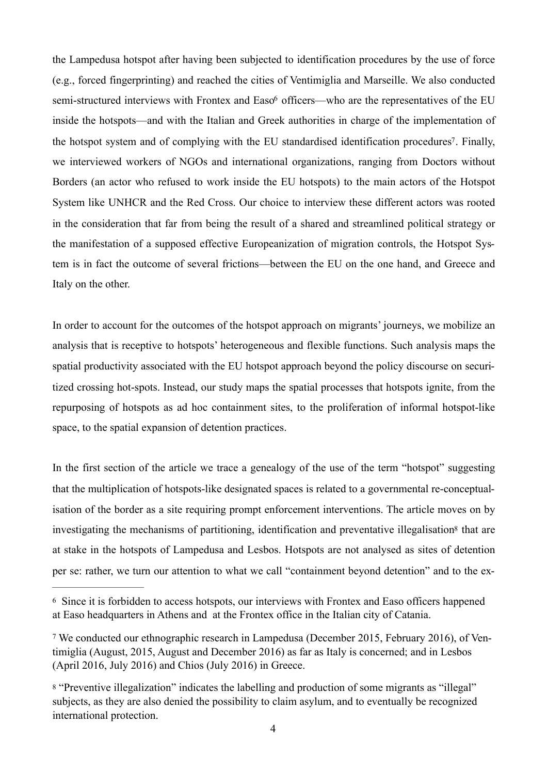the Lampedusa hotspot after having been subjected to identification procedures by the use of force (e.g., forced fingerprinting) and reached the cities of Ventimiglia and Marseille. We also conducted semi-structured interviews with Frontex and Easo<sup>6</sup> officers—who are the representatives of the EU inside the hotspots—and with the Italian and Greek authorities in charge of the implementation of the hotspot system and of complying with the EU standardised identification procedures<sup>7</sup>. Finally, we interviewed workers of NGOs and international organizations, ranging from Doctors without Borders (an actor who refused to work inside the EU hotspots) to the main actors of the Hotspot System like UNHCR and the Red Cross. Our choice to interview these different actors was rooted in the consideration that far from being the result of a shared and streamlined political strategy or the manifestation of a supposed effective Europeanization of migration controls, the Hotspot System is in fact the outcome of several frictions—between the EU on the one hand, and Greece and Italy on the other.

In order to account for the outcomes of the hotspot approach on migrants' journeys, we mobilize an analysis that is receptive to hotspots' heterogeneous and flexible functions. Such analysis maps the spatial productivity associated with the EU hotspot approach beyond the policy discourse on securitized crossing hot-spots. Instead, our study maps the spatial processes that hotspots ignite, from the repurposing of hotspots as ad hoc containment sites, to the proliferation of informal hotspot-like space, to the spatial expansion of detention practices.

In the first section of the article we trace a genealogy of the use of the term "hotspot" suggesting that the multiplication of hotspots-like designated spaces is related to a governmental re-conceptualisation of the border as a site requiring prompt enforcement interventions. The article moves on by investigating the mechanisms of partitioning, identification and preventative illegalisation8 that are at stake in the hotspots of Lampedusa and Lesbos. Hotspots are not analysed as sites of detention per se: rather, we turn our attention to what we call "containment beyond detention" and to the ex-

<sup>6</sup> Since it is forbidden to access hotspots, our interviews with Frontex and Easo officers happened at Easo headquarters in Athens and at the Frontex office in the Italian city of Catania.

<sup>7</sup> We conducted our ethnographic research in Lampedusa (December 2015, February 2016), of Ventimiglia (August, 2015, August and December 2016) as far as Italy is concerned; and in Lesbos (April 2016, July 2016) and Chios (July 2016) in Greece.

<sup>8 &</sup>quot;Preventive illegalization" indicates the labelling and production of some migrants as "illegal" subjects, as they are also denied the possibility to claim asylum, and to eventually be recognized international protection.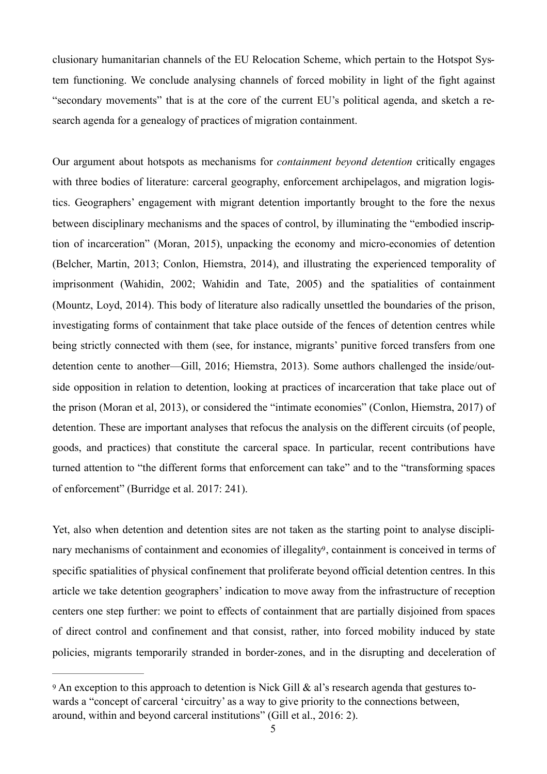clusionary humanitarian channels of the EU Relocation Scheme, which pertain to the Hotspot System functioning. We conclude analysing channels of forced mobility in light of the fight against "secondary movements" that is at the core of the current EU's political agenda, and sketch a research agenda for a genealogy of practices of migration containment.

Our argument about hotspots as mechanisms for *containment beyond detention* critically engages with three bodies of literature: carceral geography, enforcement archipelagos, and migration logistics. Geographers' engagement with migrant detention importantly brought to the fore the nexus between disciplinary mechanisms and the spaces of control, by illuminating the "embodied inscription of incarceration" (Moran, 2015), unpacking the economy and micro-economies of detention (Belcher, Martin, 2013; Conlon, Hiemstra, 2014), and illustrating the experienced temporality of imprisonment (Wahidin, 2002; Wahidin and Tate, 2005) and the spatialities of containment (Mountz, Loyd, 2014). This body of literature also radically unsettled the boundaries of the prison, investigating forms of containment that take place outside of the fences of detention centres while being strictly connected with them (see, for instance, migrants' punitive forced transfers from one detention cente to another—Gill, 2016; Hiemstra, 2013). Some authors challenged the inside/outside opposition in relation to detention, looking at practices of incarceration that take place out of the prison (Moran et al, 2013), or considered the "intimate economies" (Conlon, Hiemstra, 2017) of detention. These are important analyses that refocus the analysis on the different circuits (of people, goods, and practices) that constitute the carceral space. In particular, recent contributions have turned attention to "the different forms that enforcement can take" and to the "transforming spaces of enforcement" (Burridge et al. 2017: 241).

Yet, also when detention and detention sites are not taken as the starting point to analyse disciplinary mechanisms of containment and economies of illegality9, containment is conceived in terms of specific spatialities of physical confinement that proliferate beyond official detention centres. In this article we take detention geographers' indication to move away from the infrastructure of reception centers one step further: we point to effects of containment that are partially disjoined from spaces of direct control and confinement and that consist, rather, into forced mobility induced by state policies, migrants temporarily stranded in border-zones, and in the disrupting and deceleration of

<sup>9</sup> An exception to this approach to detention is Nick Gill & al's research agenda that gestures towards a "concept of carceral 'circuitry' as a way to give priority to the connections between, around, within and beyond carceral institutions" (Gill et al., 2016: 2).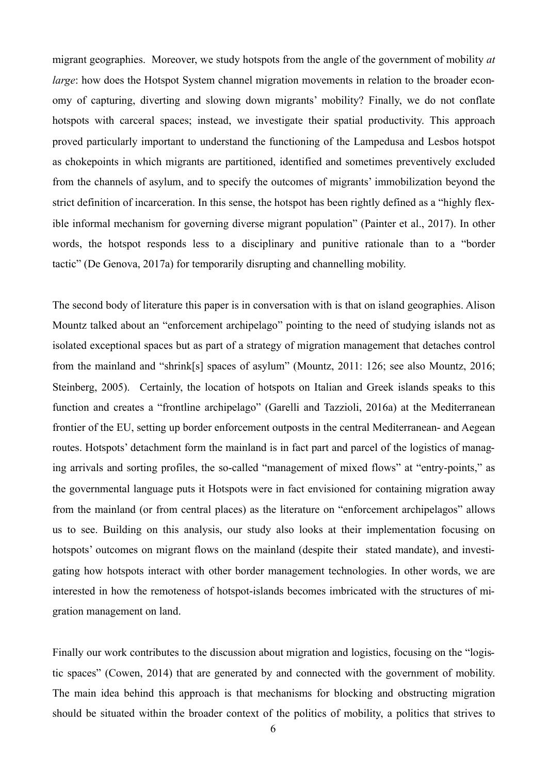migrant geographies. Moreover, we study hotspots from the angle of the government of mobility *at large*: how does the Hotspot System channel migration movements in relation to the broader economy of capturing, diverting and slowing down migrants' mobility? Finally, we do not conflate hotspots with carceral spaces; instead, we investigate their spatial productivity. This approach proved particularly important to understand the functioning of the Lampedusa and Lesbos hotspot as chokepoints in which migrants are partitioned, identified and sometimes preventively excluded from the channels of asylum, and to specify the outcomes of migrants' immobilization beyond the strict definition of incarceration. In this sense, the hotspot has been rightly defined as a "highly flexible informal mechanism for governing diverse migrant population" (Painter et al., 2017). In other words, the hotspot responds less to a disciplinary and punitive rationale than to a "border tactic" (De Genova, 2017a) for temporarily disrupting and channelling mobility.

The second body of literature this paper is in conversation with is that on island geographies. Alison Mountz talked about an "enforcement archipelago" pointing to the need of studying islands not as isolated exceptional spaces but as part of a strategy of migration management that detaches control from the mainland and "shrink[s] spaces of asylum" (Mountz, 2011: 126; see also Mountz, 2016; Steinberg, 2005). Certainly, the location of hotspots on Italian and Greek islands speaks to this function and creates a "frontline archipelago" (Garelli and Tazzioli, 2016a) at the Mediterranean frontier of the EU, setting up border enforcement outposts in the central Mediterranean- and Aegean routes. Hotspots' detachment form the mainland is in fact part and parcel of the logistics of managing arrivals and sorting profiles, the so-called "management of mixed flows" at "entry-points," as the governmental language puts it Hotspots were in fact envisioned for containing migration away from the mainland (or from central places) as the literature on "enforcement archipelagos" allows us to see. Building on this analysis, our study also looks at their implementation focusing on hotspots' outcomes on migrant flows on the mainland (despite their stated mandate), and investigating how hotspots interact with other border management technologies. In other words, we are interested in how the remoteness of hotspot-islands becomes imbricated with the structures of migration management on land.

Finally our work contributes to the discussion about migration and logistics, focusing on the "logistic spaces" (Cowen, 2014) that are generated by and connected with the government of mobility. The main idea behind this approach is that mechanisms for blocking and obstructing migration should be situated within the broader context of the politics of mobility, a politics that strives to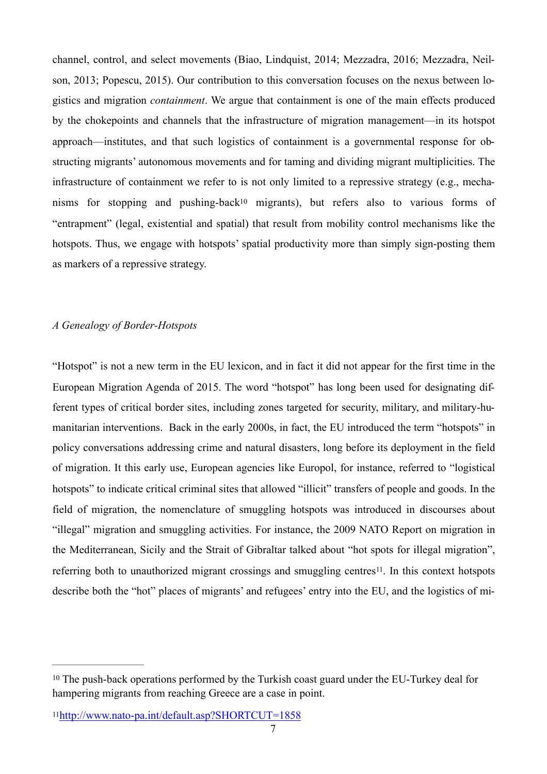channel, control, and select movements (Biao, Lindquist, 2014; Mezzadra, 2016; Mezzadra, Neilson, 2013; Popescu, 2015). Our contribution to this conversation focuses on the nexus between logistics and migration *containment*. We argue that containment is one of the main effects produced by the chokepoints and channels that the infrastructure of migration management—in its hotspot approach—institutes, and that such logistics of containment is a governmental response for obstructing migrants' autonomous movements and for taming and dividing migrant multiplicities. The infrastructure of containment we refer to is not only limited to a repressive strategy (e.g., mechanisms for stopping and pushing-back10 migrants), but refers also to various forms of "entrapment" (legal, existential and spatial) that result from mobility control mechanisms like the hotspots. Thus, we engage with hotspots' spatial productivity more than simply sign-posting them as markers of a repressive strategy.

#### *A Genealogy of Border-Hotspots*

"Hotspot" is not a new term in the EU lexicon, and in fact it did not appear for the first time in the European Migration Agenda of 2015. The word "hotspot" has long been used for designating different types of critical border sites, including zones targeted for security, military, and military-humanitarian interventions. Back in the early 2000s, in fact, the EU introduced the term "hotspots" in policy conversations addressing crime and natural disasters, long before its deployment in the field of migration. It this early use, European agencies like Europol, for instance, referred to "logistical hotspots" to indicate critical criminal sites that allowed "illicit" transfers of people and goods. In the field of migration, the nomenclature of smuggling hotspots was introduced in discourses about "illegal" migration and smuggling activities. For instance, the 2009 NATO Report on migration in the Mediterranean, Sicily and the Strait of Gibraltar talked about "hot spots for illegal migration", referring both to unauthorized migrant crossings and smuggling centres<sup>11</sup>. In this context hotspots describe both the "hot" places of migrants' and refugees' entry into the EU, and the logistics of mi-

 $10$  The push-back operations performed by the Turkish coast guard under the EU-Turkey deal for hampering migrants from reaching Greece are a case in point.

<sup>11</sup>http://www.nato-pa.int/default.asp?SHORTCUT=1858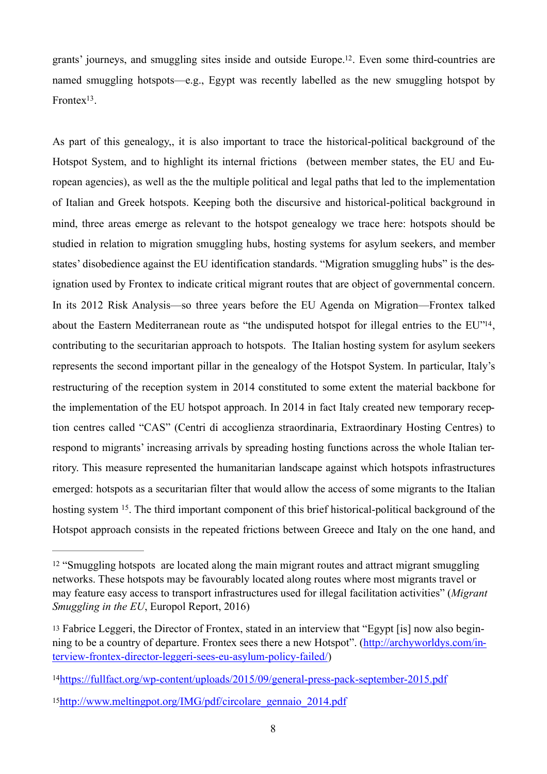grants' journeys, and smuggling sites inside and outside Europe.<sup>12</sup>. Even some third-countries are named smuggling hotspots—e.g., Egypt was recently labelled as the new smuggling hotspot by Frontex $13$ .

As part of this genealogy,, it is also important to trace the historical-political background of the Hotspot System, and to highlight its internal frictions (between member states, the EU and European agencies), as well as the the multiple political and legal paths that led to the implementation of Italian and Greek hotspots. Keeping both the discursive and historical-political background in mind, three areas emerge as relevant to the hotspot genealogy we trace here: hotspots should be studied in relation to migration smuggling hubs, hosting systems for asylum seekers, and member states' disobedience against the EU identification standards. "Migration smuggling hubs" is the designation used by Frontex to indicate critical migrant routes that are object of governmental concern. In its 2012 Risk Analysis—so three years before the EU Agenda on Migration—Frontex talked about the Eastern Mediterranean route as "the undisputed hotspot for illegal entries to the EU"<sup>14</sup>, contributing to the securitarian approach to hotspots. The Italian hosting system for asylum seekers represents the second important pillar in the genealogy of the Hotspot System. In particular, Italy's restructuring of the reception system in 2014 constituted to some extent the material backbone for the implementation of the EU hotspot approach. In 2014 in fact Italy created new temporary reception centres called "CAS" (Centri di accoglienza straordinaria, Extraordinary Hosting Centres) to respond to migrants' increasing arrivals by spreading hosting functions across the whole Italian territory. This measure represented the humanitarian landscape against which hotspots infrastructures emerged: hotspots as a securitarian filter that would allow the access of some migrants to the Italian hosting system <sup>15</sup>. The third important component of this brief historical-political background of the Hotspot approach consists in the repeated frictions between Greece and Italy on the one hand, and

<sup>&</sup>lt;sup>12</sup> "Smuggling hotspots are located along the main migrant routes and attract migrant smuggling networks. These hotspots may be favourably located along routes where most migrants travel or may feature easy access to transport infrastructures used for illegal facilitation activities" (*Migrant Smuggling in the EU*, Europol Report, 2016)

<sup>13</sup> Fabrice Leggeri, the Director of Frontex, stated in an interview that "Egypt [is] now also beginning to be a country of departure. Frontex sees there a new Hotspot". (http://archyworldys.com/interview-frontex-director-leggeri-sees-eu-asylum-policy-failed/)

<sup>&</sup>lt;sup>14</sup>https://fullfact.org/wp-content/uploads/2015/09/general-press-pack-september-2015.pdf

<sup>15</sup>http://www.meltingpot.org/IMG/pdf/circolare\_gennaio\_2014.pdf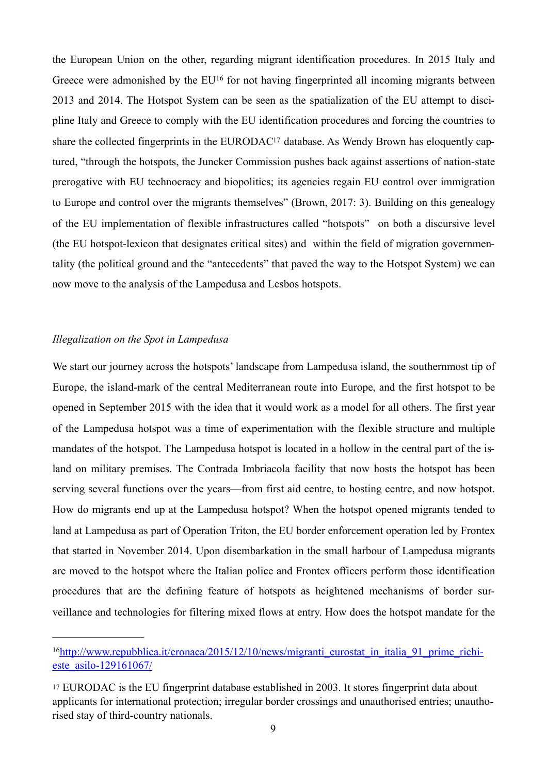the European Union on the other, regarding migrant identification procedures. In 2015 Italy and Greece were admonished by the  $EU^{16}$  for not having fingerprinted all incoming migrants between 2013 and 2014. The Hotspot System can be seen as the spatialization of the EU attempt to discipline Italy and Greece to comply with the EU identification procedures and forcing the countries to share the collected fingerprints in the EURODAC<sup>17</sup> database. As Wendy Brown has eloquently captured, "through the hotspots, the Juncker Commission pushes back against assertions of nation-state prerogative with EU technocracy and biopolitics; its agencies regain EU control over immigration to Europe and control over the migrants themselves" (Brown, 2017: 3). Building on this genealogy of the EU implementation of flexible infrastructures called "hotspots" on both a discursive level (the EU hotspot-lexicon that designates critical sites) and within the field of migration governmentality (the political ground and the "antecedents" that paved the way to the Hotspot System) we can now move to the analysis of the Lampedusa and Lesbos hotspots.

# *Illegalization on the Spot in Lampedusa*

We start our journey across the hotspots' landscape from Lampedusa island, the southernmost tip of Europe, the island-mark of the central Mediterranean route into Europe, and the first hotspot to be opened in September 2015 with the idea that it would work as a model for all others. The first year of the Lampedusa hotspot was a time of experimentation with the flexible structure and multiple mandates of the hotspot. The Lampedusa hotspot is located in a hollow in the central part of the island on military premises. The Contrada Imbriacola facility that now hosts the hotspot has been serving several functions over the years—from first aid centre, to hosting centre, and now hotspot. How do migrants end up at the Lampedusa hotspot? When the hotspot opened migrants tended to land at Lampedusa as part of Operation Triton, the EU border enforcement operation led by Frontex that started in November 2014. Upon disembarkation in the small harbour of Lampedusa migrants are moved to the hotspot where the Italian police and Frontex officers perform those identification procedures that are the defining feature of hotspots as heightened mechanisms of border surveillance and technologies for filtering mixed flows at entry. How does the hotspot mandate for the

<sup>&</sup>lt;sup>16</sup>http://www.repubblica.it/cronaca/2015/12/10/news/migranti eurostat in italia 91 prime richieste\_asilo-129161067/

<sup>17</sup> EURODAC is the EU fingerprint database established in 2003. It stores fingerprint data about applicants for international protection; irregular border crossings and unauthorised entries; unauthorised stay of third-country nationals.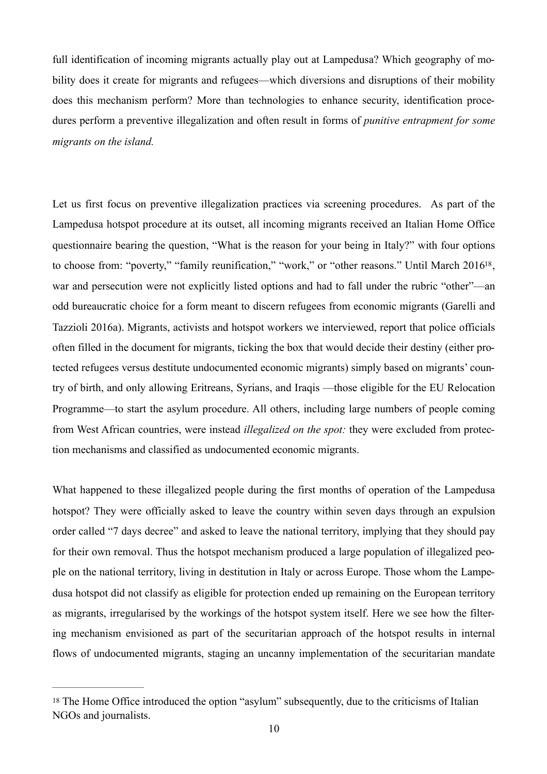full identification of incoming migrants actually play out at Lampedusa? Which geography of mobility does it create for migrants and refugees—which diversions and disruptions of their mobility does this mechanism perform? More than technologies to enhance security, identification procedures perform a preventive illegalization and often result in forms of *punitive entrapment for some migrants on the island.* 

Let us first focus on preventive illegalization practices via screening procedures. As part of the Lampedusa hotspot procedure at its outset, all incoming migrants received an Italian Home Office questionnaire bearing the question, "What is the reason for your being in Italy?" with four options to choose from: "poverty," "family reunification," "work," or "other reasons." Until March 2016<sup>18</sup>, war and persecution were not explicitly listed options and had to fall under the rubric "other"—an odd bureaucratic choice for a form meant to discern refugees from economic migrants (Garelli and Tazzioli 2016a). Migrants, activists and hotspot workers we interviewed, report that police officials often filled in the document for migrants, ticking the box that would decide their destiny (either protected refugees versus destitute undocumented economic migrants) simply based on migrants' country of birth, and only allowing Eritreans, Syrians, and Iraqis —those eligible for the EU Relocation Programme—to start the asylum procedure. All others, including large numbers of people coming from West African countries, were instead *illegalized on the spot:* they were excluded from protection mechanisms and classified as undocumented economic migrants.

What happened to these illegalized people during the first months of operation of the Lampedusa hotspot? They were officially asked to leave the country within seven days through an expulsion order called "7 days decree" and asked to leave the national territory, implying that they should pay for their own removal. Thus the hotspot mechanism produced a large population of illegalized people on the national territory, living in destitution in Italy or across Europe. Those whom the Lampedusa hotspot did not classify as eligible for protection ended up remaining on the European territory as migrants, irregularised by the workings of the hotspot system itself. Here we see how the filtering mechanism envisioned as part of the securitarian approach of the hotspot results in internal flows of undocumented migrants, staging an uncanny implementation of the securitarian mandate

<sup>18</sup> The Home Office introduced the option "asylum" subsequently, due to the criticisms of Italian NGOs and journalists.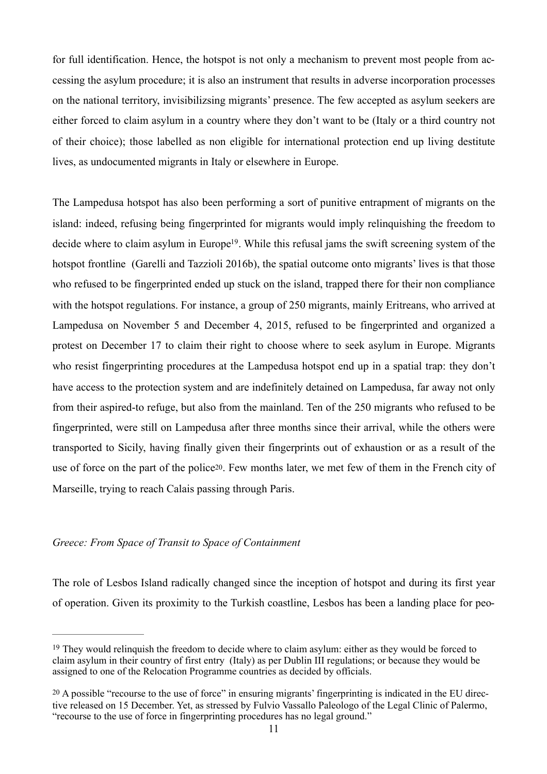for full identification. Hence, the hotspot is not only a mechanism to prevent most people from accessing the asylum procedure; it is also an instrument that results in adverse incorporation processes on the national territory, invisibilizsing migrants' presence. The few accepted as asylum seekers are either forced to claim asylum in a country where they don't want to be (Italy or a third country not of their choice); those labelled as non eligible for international protection end up living destitute lives, as undocumented migrants in Italy or elsewhere in Europe.

The Lampedusa hotspot has also been performing a sort of punitive entrapment of migrants on the island: indeed, refusing being fingerprinted for migrants would imply relinquishing the freedom to decide where to claim asylum in Europe<sup>19</sup>. While this refusal jams the swift screening system of the hotspot frontline (Garelli and Tazzioli 2016b), the spatial outcome onto migrants' lives is that those who refused to be fingerprinted ended up stuck on the island, trapped there for their non compliance with the hotspot regulations. For instance, a group of 250 migrants, mainly Eritreans, who arrived at Lampedusa on November 5 and December 4, 2015, refused to be fingerprinted and organized a protest on December 17 to claim their right to choose where to seek asylum in Europe. Migrants who resist fingerprinting procedures at the Lampedusa hotspot end up in a spatial trap: they don't have access to the protection system and are indefinitely detained on Lampedusa, far away not only from their aspired-to refuge, but also from the mainland. Ten of the 250 migrants who refused to be fingerprinted, were still on Lampedusa after three months since their arrival, while the others were transported to Sicily, having finally given their fingerprints out of exhaustion or as a result of the use of force on the part of the police20. Few months later, we met few of them in the French city of Marseille, trying to reach Calais passing through Paris.

#### *Greece: From Space of Transit to Space of Containment*

The role of Lesbos Island radically changed since the inception of hotspot and during its first year of operation. Given its proximity to the Turkish coastline, Lesbos has been a landing place for peo-

 $19$  They would relinguish the freedom to decide where to claim asylum: either as they would be forced to claim asylum in their country of first entry (Italy) as per Dublin III regulations; or because they would be assigned to one of the Relocation Programme countries as decided by officials.

<sup>20</sup> A possible "recourse to the use of force" in ensuring migrants' fingerprinting is indicated in the EU directive released on 15 December. Yet, as stressed by Fulvio Vassallo Paleologo of the Legal Clinic of Palermo, "recourse to the use of force in fingerprinting procedures has no legal ground."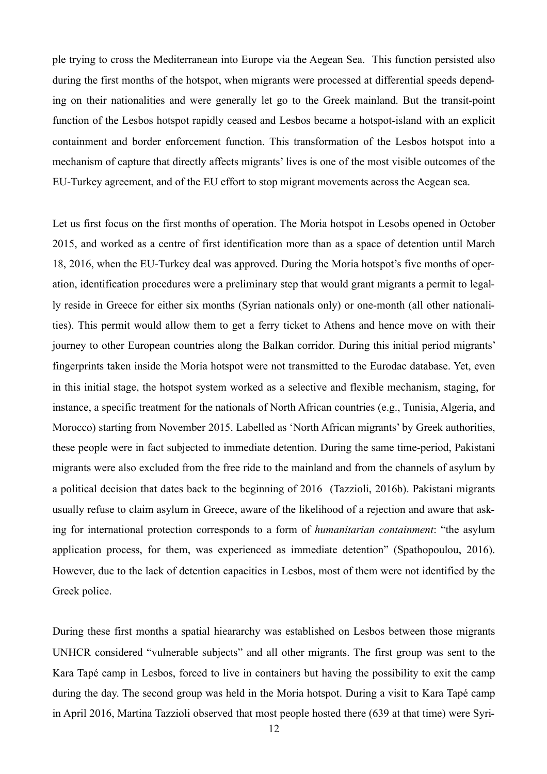ple trying to cross the Mediterranean into Europe via the Aegean Sea. This function persisted also during the first months of the hotspot, when migrants were processed at differential speeds depending on their nationalities and were generally let go to the Greek mainland. But the transit-point function of the Lesbos hotspot rapidly ceased and Lesbos became a hotspot-island with an explicit containment and border enforcement function. This transformation of the Lesbos hotspot into a mechanism of capture that directly affects migrants' lives is one of the most visible outcomes of the EU-Turkey agreement, and of the EU effort to stop migrant movements across the Aegean sea.

Let us first focus on the first months of operation. The Moria hotspot in Lesobs opened in October 2015, and worked as a centre of first identification more than as a space of detention until March 18, 2016, when the EU-Turkey deal was approved. During the Moria hotspot's five months of operation, identification procedures were a preliminary step that would grant migrants a permit to legally reside in Greece for either six months (Syrian nationals only) or one-month (all other nationalities). This permit would allow them to get a ferry ticket to Athens and hence move on with their journey to other European countries along the Balkan corridor. During this initial period migrants' fingerprints taken inside the Moria hotspot were not transmitted to the Eurodac database. Yet, even in this initial stage, the hotspot system worked as a selective and flexible mechanism, staging, for instance, a specific treatment for the nationals of North African countries (e.g., Tunisia, Algeria, and Morocco) starting from November 2015. Labelled as 'North African migrants' by Greek authorities, these people were in fact subjected to immediate detention. During the same time-period, Pakistani migrants were also excluded from the free ride to the mainland and from the channels of asylum by a political decision that dates back to the beginning of 2016 (Tazzioli, 2016b). Pakistani migrants usually refuse to claim asylum in Greece, aware of the likelihood of a rejection and aware that asking for international protection corresponds to a form of *humanitarian containment*: "the asylum application process, for them, was experienced as immediate detention" (Spathopoulou, 2016). However, due to the lack of detention capacities in Lesbos, most of them were not identified by the Greek police.

During these first months a spatial hieararchy was established on Lesbos between those migrants UNHCR considered "vulnerable subjects" and all other migrants. The first group was sent to the Kara Tapé camp in Lesbos, forced to live in containers but having the possibility to exit the camp during the day. The second group was held in the Moria hotspot. During a visit to Kara Tapé camp in April 2016, Martina Tazzioli observed that most people hosted there (639 at that time) were Syri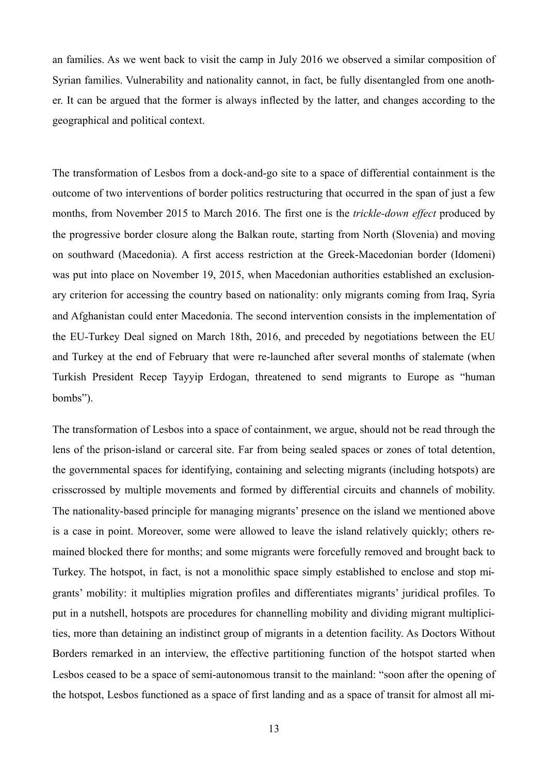an families. As we went back to visit the camp in July 2016 we observed a similar composition of Syrian families. Vulnerability and nationality cannot, in fact, be fully disentangled from one another. It can be argued that the former is always inflected by the latter, and changes according to the geographical and political context.

The transformation of Lesbos from a dock-and-go site to a space of differential containment is the outcome of two interventions of border politics restructuring that occurred in the span of just a few months, from November 2015 to March 2016. The first one is the *trickle-down effect* produced by the progressive border closure along the Balkan route, starting from North (Slovenia) and moving on southward (Macedonia). A first access restriction at the Greek-Macedonian border (Idomeni) was put into place on November 19, 2015, when Macedonian authorities established an exclusionary criterion for accessing the country based on nationality: only migrants coming from Iraq, Syria and Afghanistan could enter Macedonia. The second intervention consists in the implementation of the EU-Turkey Deal signed on March 18th, 2016, and preceded by negotiations between the EU and Turkey at the end of February that were re-launched after several months of stalemate (when Turkish President Recep Tayyip Erdogan, threatened to send migrants to Europe as "human bombs").

The transformation of Lesbos into a space of containment, we argue, should not be read through the lens of the prison-island or carceral site. Far from being sealed spaces or zones of total detention, the governmental spaces for identifying, containing and selecting migrants (including hotspots) are crisscrossed by multiple movements and formed by differential circuits and channels of mobility. The nationality-based principle for managing migrants' presence on the island we mentioned above is a case in point. Moreover, some were allowed to leave the island relatively quickly; others remained blocked there for months; and some migrants were forcefully removed and brought back to Turkey. The hotspot, in fact, is not a monolithic space simply established to enclose and stop migrants' mobility: it multiplies migration profiles and differentiates migrants' juridical profiles. To put in a nutshell, hotspots are procedures for channelling mobility and dividing migrant multiplicities, more than detaining an indistinct group of migrants in a detention facility. As Doctors Without Borders remarked in an interview, the effective partitioning function of the hotspot started when Lesbos ceased to be a space of semi-autonomous transit to the mainland: "soon after the opening of the hotspot, Lesbos functioned as a space of first landing and as a space of transit for almost all mi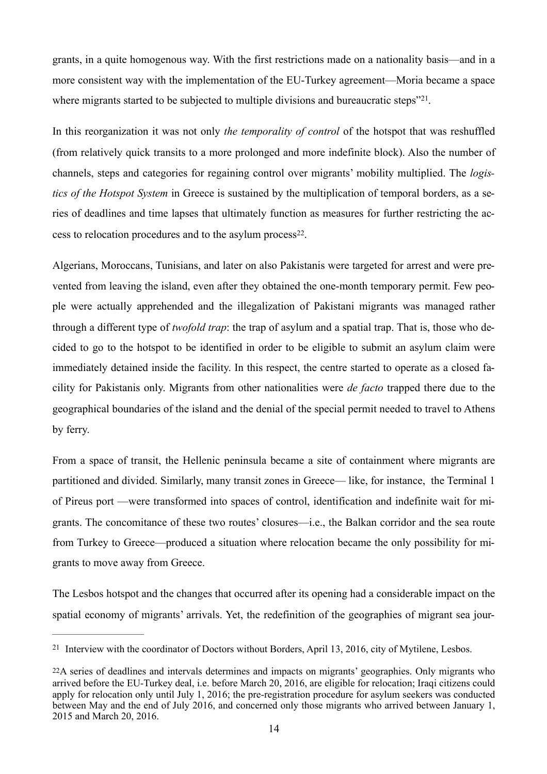grants, in a quite homogenous way. With the first restrictions made on a nationality basis—and in a more consistent way with the implementation of the EU-Turkey agreement—Moria became a space where migrants started to be subjected to multiple divisions and bureaucratic steps $"21$ .

In this reorganization it was not only *the temporality of control* of the hotspot that was reshuffled (from relatively quick transits to a more prolonged and more indefinite block). Also the number of channels, steps and categories for regaining control over migrants' mobility multiplied. The *logistics of the Hotspot System* in Greece is sustained by the multiplication of temporal borders, as a series of deadlines and time lapses that ultimately function as measures for further restricting the access to relocation procedures and to the asylum process $22$ .

Algerians, Moroccans, Tunisians, and later on also Pakistanis were targeted for arrest and were prevented from leaving the island, even after they obtained the one-month temporary permit. Few people were actually apprehended and the illegalization of Pakistani migrants was managed rather through a different type of *twofold trap*: the trap of asylum and a spatial trap. That is, those who decided to go to the hotspot to be identified in order to be eligible to submit an asylum claim were immediately detained inside the facility. In this respect, the centre started to operate as a closed facility for Pakistanis only. Migrants from other nationalities were *de facto* trapped there due to the geographical boundaries of the island and the denial of the special permit needed to travel to Athens by ferry.

From a space of transit, the Hellenic peninsula became a site of containment where migrants are partitioned and divided. Similarly, many transit zones in Greece— like, for instance, the Terminal 1 of Pireus port —were transformed into spaces of control, identification and indefinite wait for migrants. The concomitance of these two routes' closures—i.e., the Balkan corridor and the sea route from Turkey to Greece—produced a situation where relocation became the only possibility for migrants to move away from Greece.

The Lesbos hotspot and the changes that occurred after its opening had a considerable impact on the spatial economy of migrants' arrivals. Yet, the redefinition of the geographies of migrant sea jour-

<sup>&</sup>lt;sup>21</sup> Interview with the coordinator of Doctors without Borders, April 13, 2016, city of Mytilene, Lesbos.

<sup>22</sup>A series of deadlines and intervals determines and impacts on migrants' geographies. Only migrants who arrived before the EU-Turkey deal, i.e. before March 20, 2016, are eligible for relocation; Iraqi citizens could apply for relocation only until July 1, 2016; the pre-registration procedure for asylum seekers was conducted between May and the end of July 2016, and concerned only those migrants who arrived between January 1, 2015 and March 20, 2016.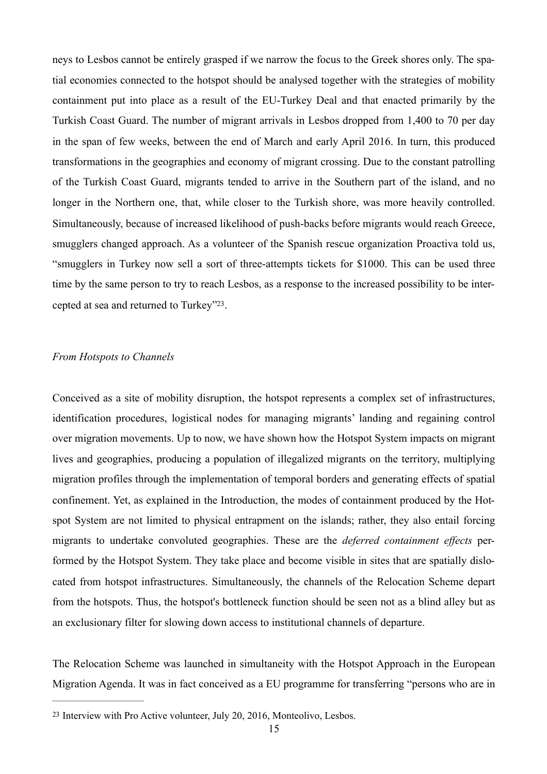neys to Lesbos cannot be entirely grasped if we narrow the focus to the Greek shores only. The spatial economies connected to the hotspot should be analysed together with the strategies of mobility containment put into place as a result of the EU-Turkey Deal and that enacted primarily by the Turkish Coast Guard. The number of migrant arrivals in Lesbos dropped from 1,400 to 70 per day in the span of few weeks, between the end of March and early April 2016. In turn, this produced transformations in the geographies and economy of migrant crossing. Due to the constant patrolling of the Turkish Coast Guard, migrants tended to arrive in the Southern part of the island, and no longer in the Northern one, that, while closer to the Turkish shore, was more heavily controlled. Simultaneously, because of increased likelihood of push-backs before migrants would reach Greece, smugglers changed approach. As a volunteer of the Spanish rescue organization Proactiva told us, "smugglers in Turkey now sell a sort of three-attempts tickets for \$1000. This can be used three time by the same person to try to reach Lesbos, as a response to the increased possibility to be intercepted at sea and returned to Turkey"<sup>23</sup>.

## *From Hotspots to Channels*

Conceived as a site of mobility disruption, the hotspot represents a complex set of infrastructures, identification procedures, logistical nodes for managing migrants' landing and regaining control over migration movements. Up to now, we have shown how the Hotspot System impacts on migrant lives and geographies, producing a population of illegalized migrants on the territory, multiplying migration profiles through the implementation of temporal borders and generating effects of spatial confinement. Yet, as explained in the Introduction, the modes of containment produced by the Hotspot System are not limited to physical entrapment on the islands; rather, they also entail forcing migrants to undertake convoluted geographies. These are the *deferred containment effects* performed by the Hotspot System. They take place and become visible in sites that are spatially dislocated from hotspot infrastructures. Simultaneously, the channels of the Relocation Scheme depart from the hotspots. Thus, the hotspot's bottleneck function should be seen not as a blind alley but as an exclusionary filter for slowing down access to institutional channels of departure.

The Relocation Scheme was launched in simultaneity with the Hotspot Approach in the European Migration Agenda. It was in fact conceived as a EU programme for transferring "persons who are in

<sup>23</sup> Interview with Pro Active volunteer, July 20, 2016, Monteolivo, Lesbos.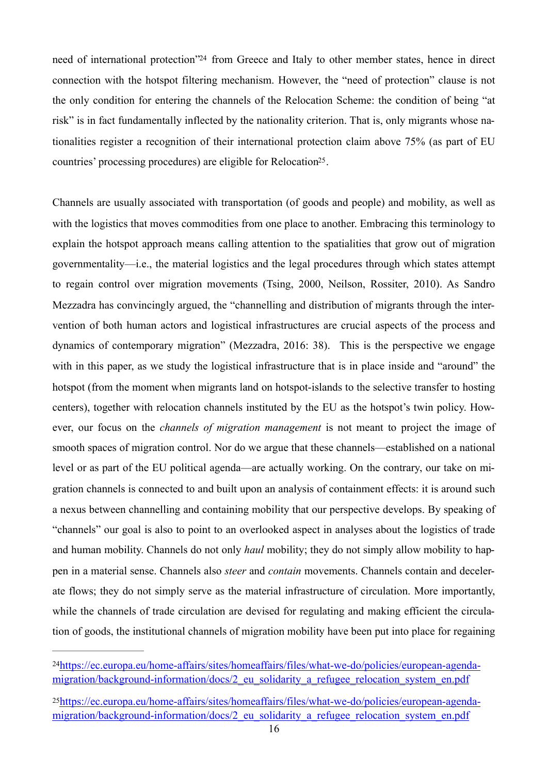need of international protection<sup>'24</sup> from Greece and Italy to other member states, hence in direct connection with the hotspot filtering mechanism. However, the "need of protection" clause is not the only condition for entering the channels of the Relocation Scheme: the condition of being "at risk" is in fact fundamentally inflected by the nationality criterion. That is, only migrants whose nationalities register a recognition of their international protection claim above 75% (as part of EU countries' processing procedures) are eligible for Relocation<sup>25</sup>.

Channels are usually associated with transportation (of goods and people) and mobility, as well as with the logistics that moves commodities from one place to another. Embracing this terminology to explain the hotspot approach means calling attention to the spatialities that grow out of migration governmentality—i.e., the material logistics and the legal procedures through which states attempt to regain control over migration movements (Tsing, 2000, Neilson, Rossiter, 2010). As Sandro Mezzadra has convincingly argued, the "channelling and distribution of migrants through the intervention of both human actors and logistical infrastructures are crucial aspects of the process and dynamics of contemporary migration" (Mezzadra, 2016: 38). This is the perspective we engage with in this paper, as we study the logistical infrastructure that is in place inside and "around" the hotspot (from the moment when migrants land on hotspot-islands to the selective transfer to hosting centers), together with relocation channels instituted by the EU as the hotspot's twin policy. However, our focus on the *channels of migration management* is not meant to project the image of smooth spaces of migration control. Nor do we argue that these channels—established on a national level or as part of the EU political agenda—are actually working. On the contrary, our take on migration channels is connected to and built upon an analysis of containment effects: it is around such a nexus between channelling and containing mobility that our perspective develops. By speaking of "channels" our goal is also to point to an overlooked aspect in analyses about the logistics of trade and human mobility. Channels do not only *haul* mobility; they do not simply allow mobility to happen in a material sense. Channels also *steer* and *contain* movements. Channels contain and decelerate flows; they do not simply serve as the material infrastructure of circulation. More importantly, while the channels of trade circulation are devised for regulating and making efficient the circulation of goods, the institutional channels of migration mobility have been put into place for regaining

<sup>&</sup>lt;sup>24</sup>https://ec.europa.eu/home-affairs/sites/homeaffairs/files/what-we-do/policies/european-agendamigration/background-information/docs/2\_eu\_solidarity\_a\_refugee\_relocation\_system\_en.pdf

<sup>25</sup>https://ec.europa.eu/home-affairs/sites/homeaffairs/files/what-we-do/policies/european-agendamigration/background-information/docs/2\_eu\_solidarity\_a\_refugee\_relocation\_system\_en.pdf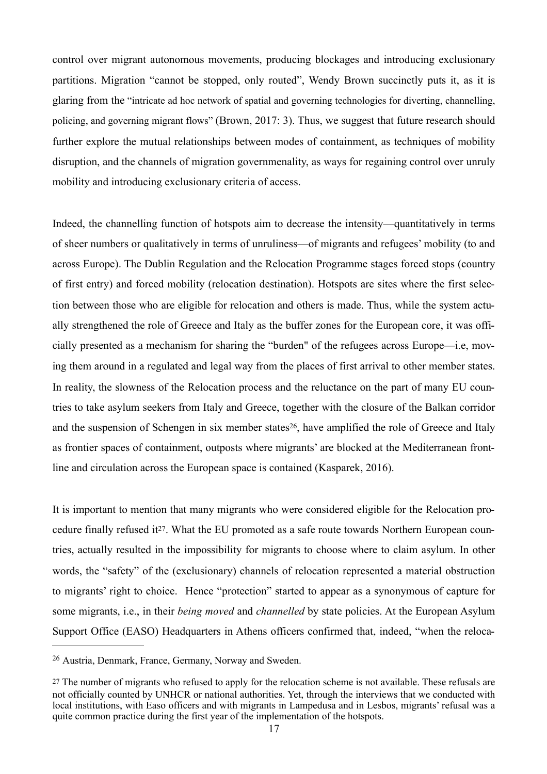control over migrant autonomous movements, producing blockages and introducing exclusionary partitions. Migration "cannot be stopped, only routed", Wendy Brown succinctly puts it, as it is glaring from the "intricate ad hoc network of spatial and governing technologies for diverting, channelling, policing, and governing migrant flows" (Brown, 2017: 3). Thus, we suggest that future research should further explore the mutual relationships between modes of containment, as techniques of mobility disruption, and the channels of migration governmenality, as ways for regaining control over unruly mobility and introducing exclusionary criteria of access.

Indeed, the channelling function of hotspots aim to decrease the intensity—quantitatively in terms of sheer numbers or qualitatively in terms of unruliness—of migrants and refugees' mobility (to and across Europe). The Dublin Regulation and the Relocation Programme stages forced stops (country of first entry) and forced mobility (relocation destination). Hotspots are sites where the first selection between those who are eligible for relocation and others is made. Thus, while the system actually strengthened the role of Greece and Italy as the buffer zones for the European core, it was officially presented as a mechanism for sharing the "burden" of the refugees across Europe—i.e, moving them around in a regulated and legal way from the places of first arrival to other member states. In reality, the slowness of the Relocation process and the reluctance on the part of many EU countries to take asylum seekers from Italy and Greece, together with the closure of the Balkan corridor and the suspension of Schengen in six member states<sup>26</sup>, have amplified the role of Greece and Italy as frontier spaces of containment, outposts where migrants' are blocked at the Mediterranean frontline and circulation across the European space is contained (Kasparek, 2016).

It is important to mention that many migrants who were considered eligible for the Relocation procedure finally refused it27. What the EU promoted as a safe route towards Northern European countries, actually resulted in the impossibility for migrants to choose where to claim asylum. In other words, the "safety" of the (exclusionary) channels of relocation represented a material obstruction to migrants' right to choice. Hence "protection" started to appear as a synonymous of capture for some migrants, i.e., in their *being moved* and *channelled* by state policies. At the European Asylum Support Office (EASO) Headquarters in Athens officers confirmed that, indeed, "when the reloca-

<sup>&</sup>lt;sup>26</sup> Austria, Denmark, France, Germany, Norway and Sweden.

<sup>27</sup> The number of migrants who refused to apply for the relocation scheme is not available. These refusals are not officially counted by UNHCR or national authorities. Yet, through the interviews that we conducted with local institutions, with Easo officers and with migrants in Lampedusa and in Lesbos, migrants' refusal was a quite common practice during the first year of the implementation of the hotspots.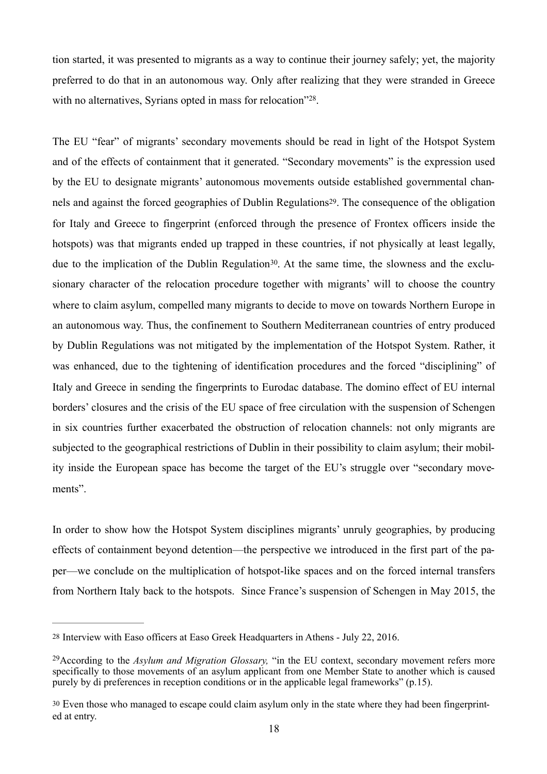tion started, it was presented to migrants as a way to continue their journey safely; yet, the majority preferred to do that in an autonomous way. Only after realizing that they were stranded in Greece with no alternatives, Syrians opted in mass for relocation"<sup>28</sup>.

The EU "fear" of migrants' secondary movements should be read in light of the Hotspot System and of the effects of containment that it generated. "Secondary movements" is the expression used by the EU to designate migrants' autonomous movements outside established governmental channels and against the forced geographies of Dublin Regulations<sup>29</sup>. The consequence of the obligation for Italy and Greece to fingerprint (enforced through the presence of Frontex officers inside the hotspots) was that migrants ended up trapped in these countries, if not physically at least legally, due to the implication of the Dublin Regulation<sup>30</sup>. At the same time, the slowness and the exclusionary character of the relocation procedure together with migrants' will to choose the country where to claim asylum, compelled many migrants to decide to move on towards Northern Europe in an autonomous way. Thus, the confinement to Southern Mediterranean countries of entry produced by Dublin Regulations was not mitigated by the implementation of the Hotspot System. Rather, it was enhanced, due to the tightening of identification procedures and the forced "disciplining" of Italy and Greece in sending the fingerprints to Eurodac database. The domino effect of EU internal borders' closures and the crisis of the EU space of free circulation with the suspension of Schengen in six countries further exacerbated the obstruction of relocation channels: not only migrants are subjected to the geographical restrictions of Dublin in their possibility to claim asylum; their mobility inside the European space has become the target of the EU's struggle over "secondary movements".

In order to show how the Hotspot System disciplines migrants' unruly geographies, by producing effects of containment beyond detention—the perspective we introduced in the first part of the paper—we conclude on the multiplication of hotspot-like spaces and on the forced internal transfers from Northern Italy back to the hotspots. Since France's suspension of Schengen in May 2015, the

<sup>28</sup> Interview with Easo officers at Easo Greek Headquarters in Athens - July 22, 2016.

<sup>&</sup>lt;sup>29</sup> According to the *Asylum and Migration Glossary*, "in the EU context, secondary movement refers more specifically to those movements of an asylum applicant from one Member State to another which is caused purely by di preferences in reception conditions or in the applicable legal frameworks" (p.15).

<sup>30</sup> Even those who managed to escape could claim asylum only in the state where they had been fingerprinted at entry.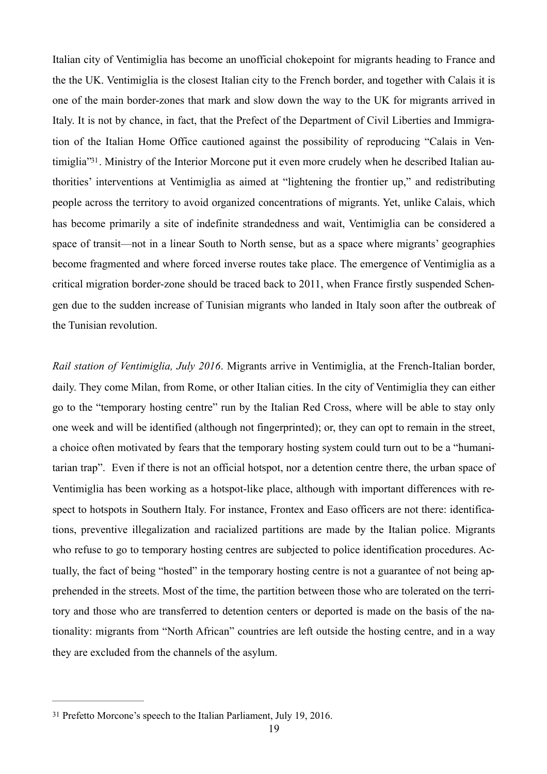Italian city of Ventimiglia has become an unofficial chokepoint for migrants heading to France and the the UK. Ventimiglia is the closest Italian city to the French border, and together with Calais it is one of the main border-zones that mark and slow down the way to the UK for migrants arrived in Italy. It is not by chance, in fact, that the Prefect of the Department of Civil Liberties and Immigration of the Italian Home Office cautioned against the possibility of reproducing "Calais in Ventimiglia"31. Ministry of the Interior Morcone put it even more crudely when he described Italian authorities' interventions at Ventimiglia as aimed at "lightening the frontier up," and redistributing people across the territory to avoid organized concentrations of migrants. Yet, unlike Calais, which has become primarily a site of indefinite strandedness and wait, Ventimiglia can be considered a space of transit—not in a linear South to North sense, but as a space where migrants' geographies become fragmented and where forced inverse routes take place. The emergence of Ventimiglia as a critical migration border-zone should be traced back to 2011, when France firstly suspended Schengen due to the sudden increase of Tunisian migrants who landed in Italy soon after the outbreak of the Tunisian revolution.

*Rail station of Ventimiglia, July 2016*. Migrants arrive in Ventimiglia, at the French-Italian border, daily. They come Milan, from Rome, or other Italian cities. In the city of Ventimiglia they can either go to the "temporary hosting centre" run by the Italian Red Cross, where will be able to stay only one week and will be identified (although not fingerprinted); or, they can opt to remain in the street, a choice often motivated by fears that the temporary hosting system could turn out to be a "humanitarian trap". Even if there is not an official hotspot, nor a detention centre there, the urban space of Ventimiglia has been working as a hotspot-like place, although with important differences with respect to hotspots in Southern Italy. For instance, Frontex and Easo officers are not there: identifications, preventive illegalization and racialized partitions are made by the Italian police. Migrants who refuse to go to temporary hosting centres are subjected to police identification procedures. Actually, the fact of being "hosted" in the temporary hosting centre is not a guarantee of not being apprehended in the streets. Most of the time, the partition between those who are tolerated on the territory and those who are transferred to detention centers or deported is made on the basis of the nationality: migrants from "North African" countries are left outside the hosting centre, and in a way they are excluded from the channels of the asylum.

<sup>31</sup> Prefetto Morcone's speech to the Italian Parliament, July 19, 2016.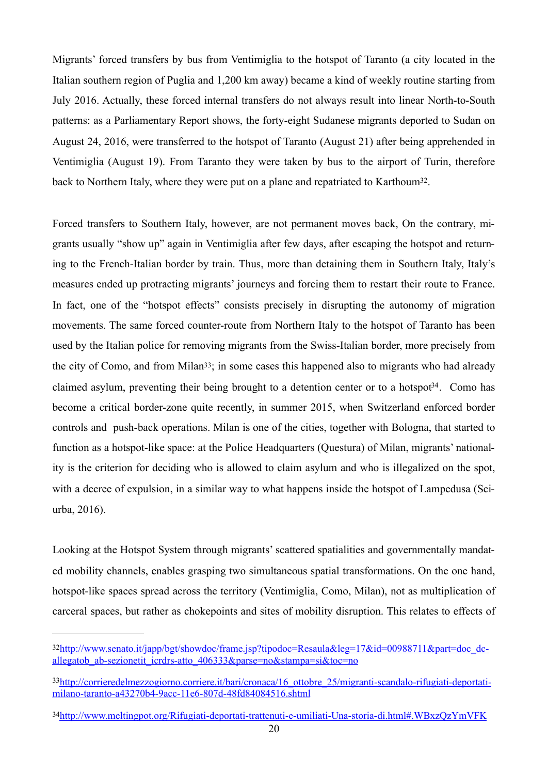Migrants' forced transfers by bus from Ventimiglia to the hotspot of Taranto (a city located in the Italian southern region of Puglia and 1,200 km away) became a kind of weekly routine starting from July 2016. Actually, these forced internal transfers do not always result into linear North-to-South patterns: as a Parliamentary Report shows, the forty-eight Sudanese migrants deported to Sudan on August 24, 2016, were transferred to the hotspot of Taranto (August 21) after being apprehended in Ventimiglia (August 19). From Taranto they were taken by bus to the airport of Turin, therefore back to Northern Italy, where they were put on a plane and repatriated to Karthoum<sup>32</sup>.

Forced transfers to Southern Italy, however, are not permanent moves back, On the contrary, migrants usually "show up" again in Ventimiglia after few days, after escaping the hotspot and returning to the French-Italian border by train. Thus, more than detaining them in Southern Italy, Italy's measures ended up protracting migrants' journeys and forcing them to restart their route to France. In fact, one of the "hotspot effects" consists precisely in disrupting the autonomy of migration movements. The same forced counter-route from Northern Italy to the hotspot of Taranto has been used by the Italian police for removing migrants from the Swiss-Italian border, more precisely from the city of Como, and from Milan33; in some cases this happened also to migrants who had already claimed asylum, preventing their being brought to a detention center or to a hotspot<sup>34</sup>. Como has become a critical border-zone quite recently, in summer 2015, when Switzerland enforced border controls and push-back operations. Milan is one of the cities, together with Bologna, that started to function as a hotspot-like space: at the Police Headquarters (Questura) of Milan, migrants' nationality is the criterion for deciding who is allowed to claim asylum and who is illegalized on the spot, with a decree of expulsion, in a similar way to what happens inside the hotspot of Lampedusa (Sciurba, 2016).

Looking at the Hotspot System through migrants' scattered spatialities and governmentally mandated mobility channels, enables grasping two simultaneous spatial transformations. On the one hand, hotspot-like spaces spread across the territory (Ventimiglia, Como, Milan), not as multiplication of carceral spaces, but rather as chokepoints and sites of mobility disruption. This relates to effects of

<sup>32</sup>http://www.senato.it/japp/bgt/showdoc/frame.jsp?tipodoc=Resaula&leg=17&id=00988711&part=doc\_dcallegatob ab-sezionetit\_icrdrs-atto 406333&parse=no&stampa=si&toc=no

<sup>33</sup>http://corrieredelmezzogiorno.corriere.it/bari/cronaca/16\_ottobre\_25/migranti-scandalo-rifugiati-deportatimilano-taranto-a43270b4-9acc-11e6-807d-48fd84084516.shtml

<sup>34</sup>http://www.meltingpot.org/Rifugiati-deportati-trattenuti-e-umiliati-Una-storia-di.html#.WBxzQzYmVFK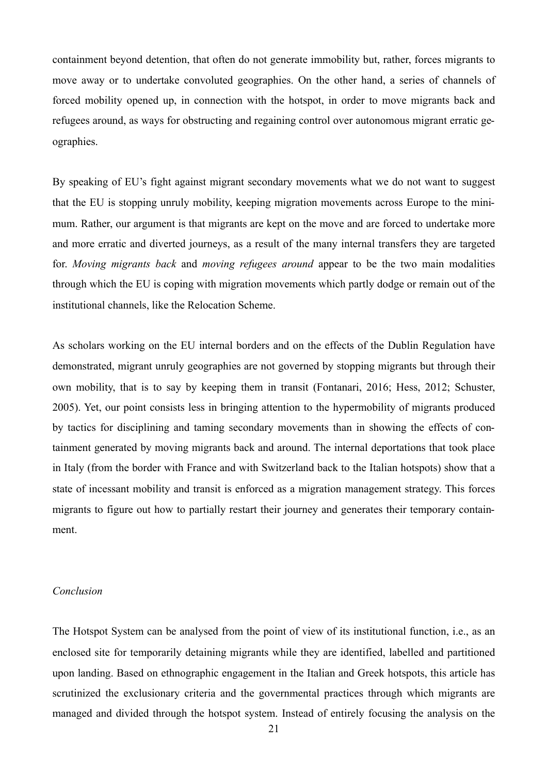containment beyond detention, that often do not generate immobility but, rather, forces migrants to move away or to undertake convoluted geographies. On the other hand, a series of channels of forced mobility opened up, in connection with the hotspot, in order to move migrants back and refugees around, as ways for obstructing and regaining control over autonomous migrant erratic geographies.

By speaking of EU's fight against migrant secondary movements what we do not want to suggest that the EU is stopping unruly mobility, keeping migration movements across Europe to the minimum. Rather, our argument is that migrants are kept on the move and are forced to undertake more and more erratic and diverted journeys, as a result of the many internal transfers they are targeted for. *Moving migrants back* and *moving refugees around* appear to be the two main modalities through which the EU is coping with migration movements which partly dodge or remain out of the institutional channels, like the Relocation Scheme.

As scholars working on the EU internal borders and on the effects of the Dublin Regulation have demonstrated, migrant unruly geographies are not governed by stopping migrants but through their own mobility, that is to say by keeping them in transit (Fontanari, 2016; Hess, 2012; Schuster, 2005). Yet, our point consists less in bringing attention to the hypermobility of migrants produced by tactics for disciplining and taming secondary movements than in showing the effects of containment generated by moving migrants back and around. The internal deportations that took place in Italy (from the border with France and with Switzerland back to the Italian hotspots) show that a state of incessant mobility and transit is enforced as a migration management strategy. This forces migrants to figure out how to partially restart their journey and generates their temporary containment.

#### *Conclusion*

The Hotspot System can be analysed from the point of view of its institutional function, i.e., as an enclosed site for temporarily detaining migrants while they are identified, labelled and partitioned upon landing. Based on ethnographic engagement in the Italian and Greek hotspots, this article has scrutinized the exclusionary criteria and the governmental practices through which migrants are managed and divided through the hotspot system. Instead of entirely focusing the analysis on the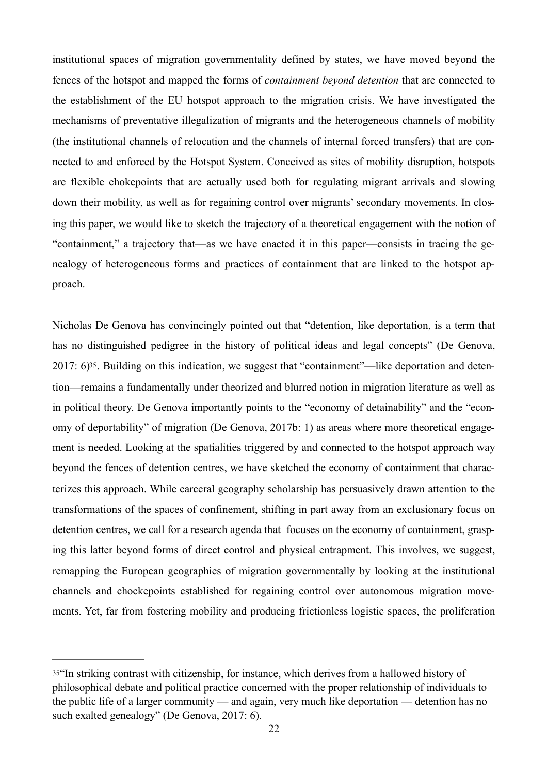institutional spaces of migration governmentality defined by states, we have moved beyond the fences of the hotspot and mapped the forms of *containment beyond detention* that are connected to the establishment of the EU hotspot approach to the migration crisis. We have investigated the mechanisms of preventative illegalization of migrants and the heterogeneous channels of mobility (the institutional channels of relocation and the channels of internal forced transfers) that are connected to and enforced by the Hotspot System. Conceived as sites of mobility disruption, hotspots are flexible chokepoints that are actually used both for regulating migrant arrivals and slowing down their mobility, as well as for regaining control over migrants' secondary movements. In closing this paper, we would like to sketch the trajectory of a theoretical engagement with the notion of "containment," a trajectory that—as we have enacted it in this paper—consists in tracing the genealogy of heterogeneous forms and practices of containment that are linked to the hotspot approach.

Nicholas De Genova has convincingly pointed out that "detention, like deportation, is a term that has no distinguished pedigree in the history of political ideas and legal concepts" (De Genova, 2017: 6)35. Building on this indication, we suggest that "containment"—like deportation and detention—remains a fundamentally under theorized and blurred notion in migration literature as well as in political theory. De Genova importantly points to the "economy of detainability" and the "economy of deportability" of migration (De Genova, 2017b: 1) as areas where more theoretical engagement is needed. Looking at the spatialities triggered by and connected to the hotspot approach way beyond the fences of detention centres, we have sketched the economy of containment that characterizes this approach. While carceral geography scholarship has persuasively drawn attention to the transformations of the spaces of confinement, shifting in part away from an exclusionary focus on detention centres, we call for a research agenda that focuses on the economy of containment, grasping this latter beyond forms of direct control and physical entrapment. This involves, we suggest, remapping the European geographies of migration governmentally by looking at the institutional channels and chockepoints established for regaining control over autonomous migration movements. Yet, far from fostering mobility and producing frictionless logistic spaces, the proliferation

<sup>35&</sup>quot;In striking contrast with citizenship, for instance, which derives from a hallowed history of philosophical debate and political practice concerned with the proper relationship of individuals to the public life of a larger community — and again, very much like deportation — detention has no such exalted genealogy" (De Genova, 2017: 6).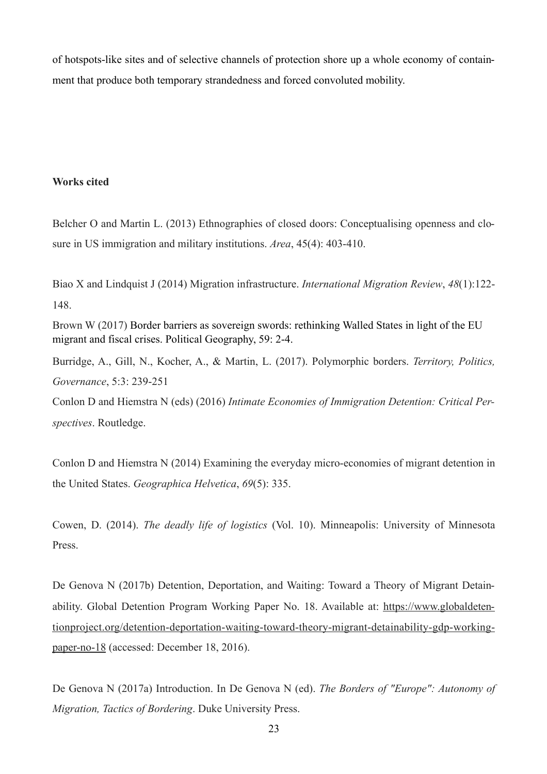of hotspots-like sites and of selective channels of protection shore up a whole economy of containment that produce both temporary strandedness and forced convoluted mobility.

#### **Works cited**

Belcher O and Martin L. (2013) Ethnographies of closed doors: Conceptualising openness and closure in US immigration and military institutions. *Area*, 45(4): 403-410.

Biao X and Lindquist J (2014) Migration infrastructure. *International Migration Review*, *48*(1):122- 148.

Brown W (2017) Border barriers as sovereign swords: rethinking Walled States in light of the EU migrant and fiscal crises. Political Geography, 59: 2-4.

Burridge, A., Gill, N., Kocher, A., & Martin, L. (2017). Polymorphic borders. *Territory, Politics, Governance*, 5:3: 239-251

Conlon D and Hiemstra N (eds) (2016) *Intimate Economies of Immigration Detention: Critical Perspectives*. Routledge.

Conlon D and Hiemstra N (2014) Examining the everyday micro-economies of migrant detention in the United States. *Geographica Helvetica*, *69*(5): 335.

Cowen, D. (2014). *The deadly life of logistics* (Vol. 10). Minneapolis: University of Minnesota Press.

De Genova N (2017b) Detention, Deportation, and Waiting: Toward a Theory of Migrant Detainability. Global Detention Program Working Paper No. 18. Available at: https://www.globaldetentionproject.org/detention-deportation-waiting-toward-theory-migrant-detainability-gdp-workingpaper-no-18 (accessed: December 18, 2016).

De Genova N (2017a) Introduction. In De Genova N (ed). *The Borders of "Europe": Autonomy of Migration, Tactics of Bordering*. Duke University Press.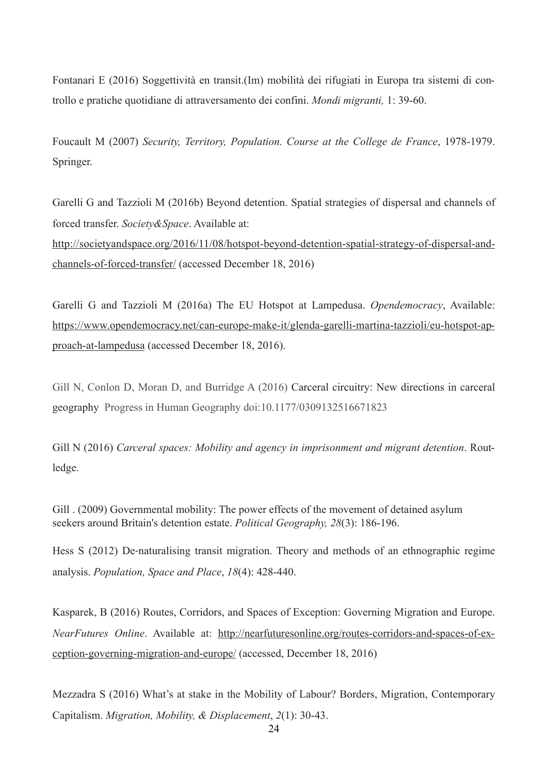Fontanari E (2016) Soggettività en transit.(Im) mobilità dei rifugiati in Europa tra sistemi di controllo e pratiche quotidiane di attraversamento dei confini. *Mondi migranti,* 1: 39-60.

Foucault M (2007) *Security, Territory, Population. Course at the College de France*, 1978-1979. Springer.

Garelli G and Tazzioli M (2016b) Beyond detention. Spatial strategies of dispersal and channels of forced transfer. *Society&Space*. Available at: http://societyandspace.org/2016/11/08/hotspot-beyond-detention-spatial-strategy-of-dispersal-andchannels-of-forced-transfer/ (accessed December 18, 2016)

Garelli G and Tazzioli M (2016a) The EU Hotspot at Lampedusa. *Opendemocracy*, Available: https://www.opendemocracy.net/can-europe-make-it/glenda-garelli-martina-tazzioli/eu-hotspot-approach-at-lampedusa (accessed December 18, 2016).

Gill N, Conlon D, Moran D, and Burridge A (2016) Carceral circuitry: New directions in carceral geography Progress in Human Geography doi:10.1177/0309132516671823

Gill N (2016) *Carceral spaces: Mobility and agency in imprisonment and migrant detention*. Routledge.

Gill . (2009) Governmental mobility: The power effects of the movement of detained asylum seekers around Britain's detention estate. *Political Geography, 28*(3): 186-196.

Hess S (2012) De-naturalising transit migration. Theory and methods of an ethnographic regime analysis. *Population, Space and Place*, *18*(4): 428-440.

Kasparek, B (2016) Routes, Corridors, and Spaces of Exception: Governing Migration and Europe. *NearFutures Online*. Available at: http://nearfuturesonline.org/routes-corridors-and-spaces-of-exception-governing-migration-and-europe/ (accessed, December 18, 2016)

Mezzadra S (2016) What's at stake in the Mobility of Labour? Borders, Migration, Contemporary Capitalism. *Migration, Mobility, & Displacement*, *2*(1): 30-43.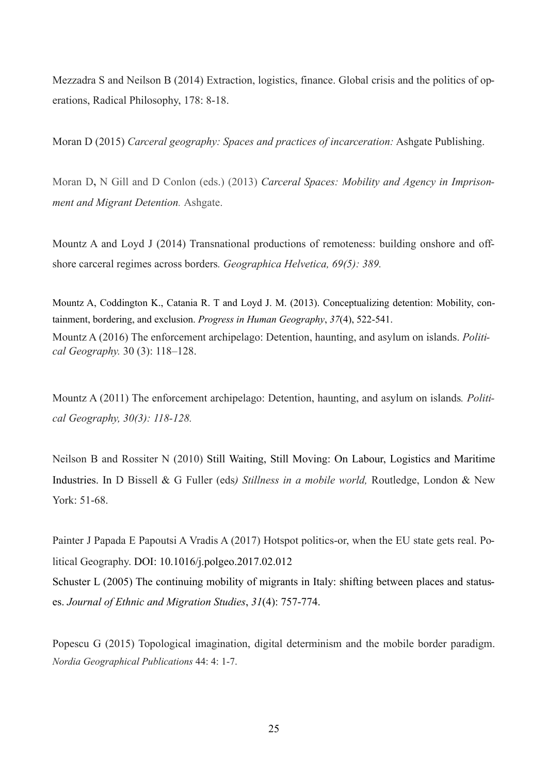Mezzadra S and Neilson B (2014) Extraction, logistics, finance. Global crisis and the politics of operations, Radical Philosophy, 178: 8-18.

Moran D (2015) *Carceral geography: Spaces and practices of incarceration:* Ashgate Publishing.

Moran D**,** N Gill and D Conlon (eds.) (2013) *Carceral Spaces: Mobility and Agency in Imprisonment and Migrant Detention.* Ashgate.

Mountz A and Loyd J (2014) Transnational productions of remoteness: building onshore and offshore carceral regimes across borders*. Geographica Helvetica, 69(5): 389.* 

Mountz A, Coddington K., Catania R. T and Loyd J. M. (2013). Conceptualizing detention: Mobility, containment, bordering, and exclusion. *Progress in Human Geography*, *37*(4), 522-541.

Mountz A (2016) The enforcement archipelago: Detention, haunting, and asylum on islands. *Political Geography.* 30 (3): 118–128.

Mountz A (2011) The enforcement archipelago: Detention, haunting, and asylum on islands*. Political Geography, 30(3): 118-128.* 

Neilson B and Rossiter N (2010) Still Waiting, Still Moving: On Labour, Logistics and Maritime Industries. In D Bissell & G Fuller (eds*) Stillness in a mobile world,* Routledge, London & New York: 51-68.

Painter J Papada E Papoutsi A Vradis A (2017) Hotspot politics-or, when the EU state gets real. Political Geography. DOI: 10.1016/j.polgeo.2017.02.012

Schuster L (2005) The continuing mobility of migrants in Italy: shifting between places and statuses. *Journal of Ethnic and Migration Studies*, *31*(4): 757-774.

Popescu G (2015) Topological imagination, digital determinism and the mobile border paradigm. *Nordia Geographical Publications* 44: 4: 1-7.